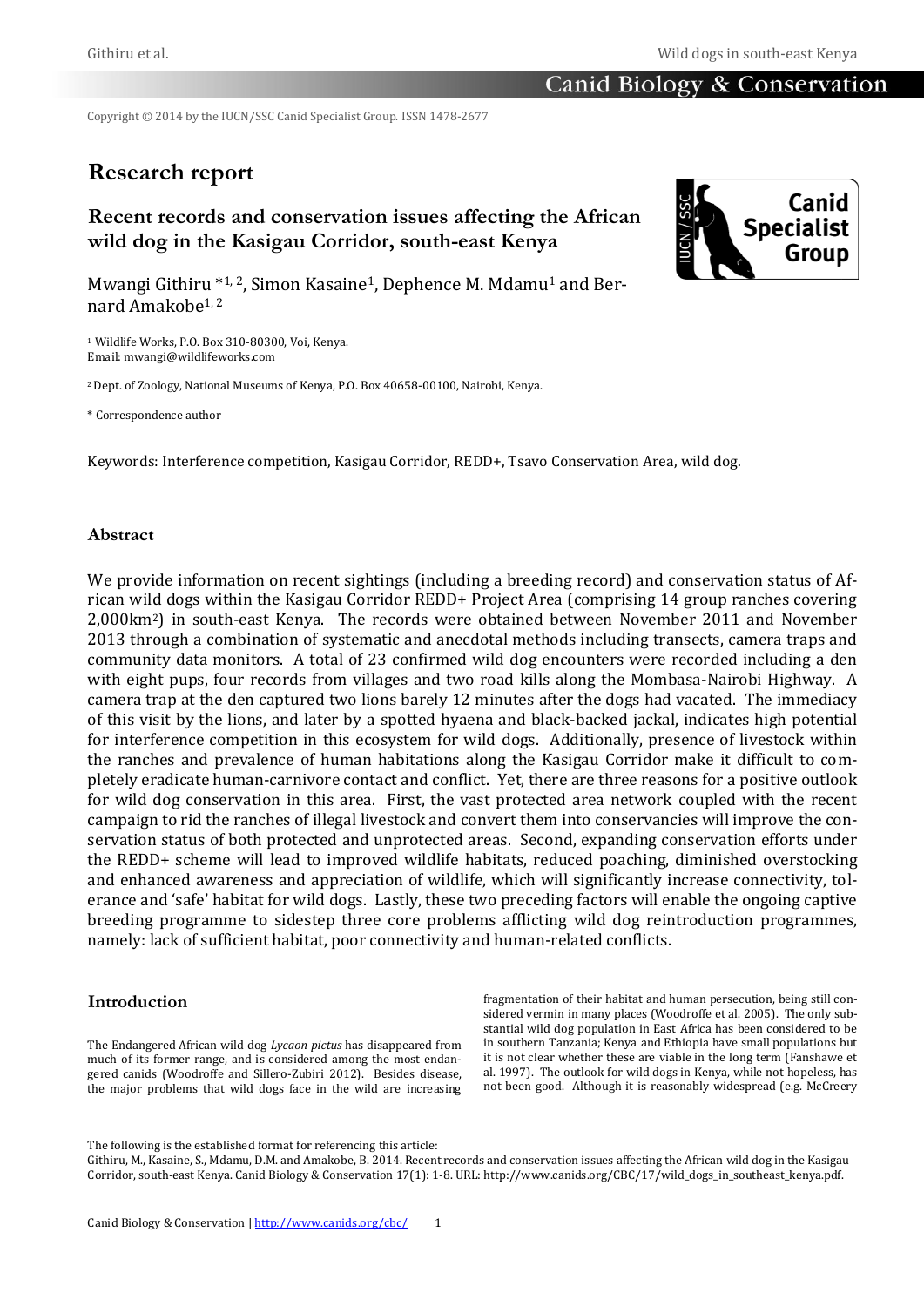# Canid Biology & Conservation

Copyright © 2014 by the IUCN/SSC Canid Specialist Group. ISSN 1478-2677

# **Research report**

# **Recent records and conservation issues affecting the African wild dog in the Kasigau Corridor, south-east Kenya**



Mwangi Githiru \*1, 2, Simon Kasaine<sup>1</sup>, Dephence M. Mdamu<sup>1</sup> and Bernard Amakobe1, 2

<sup>1</sup> Wildlife Works, P.O. Box 310-80300, Voi, Kenya. Email: mwangi@wildlifeworks.com

<sup>2</sup> Dept. of Zoology, National Museums of Kenya, P.O. Box 40658-00100, Nairobi, Kenya.

\* Correspondence author

Keywords: Interference competition, Kasigau Corridor, REDD+, Tsavo Conservation Area, wild dog.

# **Abstract**

We provide information on recent sightings (including a breeding record) and conservation status of African wild dogs within the Kasigau Corridor REDD+ Project Area (comprising 14 group ranches covering 2,000km2) in south-east Kenya. The records were obtained between November 2011 and November 2013 through a combination of systematic and anecdotal methods including transects, camera traps and community data monitors. A total of 23 confirmed wild dog encounters were recorded including a den with eight pups, four records from villages and two road kills along the Mombasa-Nairobi Highway. A camera trap at the den captured two lions barely 12 minutes after the dogs had vacated. The immediacy of this visit by the lions, and later by a spotted hyaena and black-backed jackal, indicates high potential for interference competition in this ecosystem for wild dogs. Additionally, presence of livestock within the ranches and prevalence of human habitations along the Kasigau Corridor make it difficult to completely eradicate human-carnivore contact and conflict. Yet, there are three reasons for a positive outlook for wild dog conservation in this area. First, the vast protected area network coupled with the recent campaign to rid the ranches of illegal livestock and convert them into conservancies will improve the conservation status of both protected and unprotected areas. Second, expanding conservation efforts under the REDD+ scheme will lead to improved wildlife habitats, reduced poaching, diminished overstocking and enhanced awareness and appreciation of wildlife, which will significantly increase connectivity, tolerance and 'safe' habitat for wild dogs. Lastly, these two preceding factors will enable the ongoing captive breeding programme to sidestep three core problems afflicting wild dog reintroduction programmes, namely: lack of sufficient habitat, poor connectivity and human-related conflicts.

# **Introduction**

The Endangered African wild dog *Lycaon pictus* has disappeared from much of its former range, and is considered among the most endangered canids (Woodroffe and Sillero-Zubiri 2012). Besides disease, the major problems that wild dogs face in the wild are increasing

fragmentation of their habitat and human persecution, being still considered vermin in many places (Woodroffe et al. 2005). The only substantial wild dog population in East Africa has been considered to be in southern Tanzania; Kenya and Ethiopia have small populations but it is not clear whether these are viable in the long term (Fanshawe et al. 1997). The outlook for wild dogs in Kenya, while not hopeless, has not been good. Although it is reasonably widespread (e.g. McCreery

The following is the established format for referencing this article:

Githiru, M., Kasaine, S., Mdamu, D.M. and Amakobe, B. 2014. Recent records and conservation issues affecting the African wild dog in the Kasigau Corridor, south-east Kenya. Canid Biology & Conservation 17(1): 1-8. URL: http://www.canids.org/CBC/17/wild\_dogs\_in\_southeast\_kenya.pdf.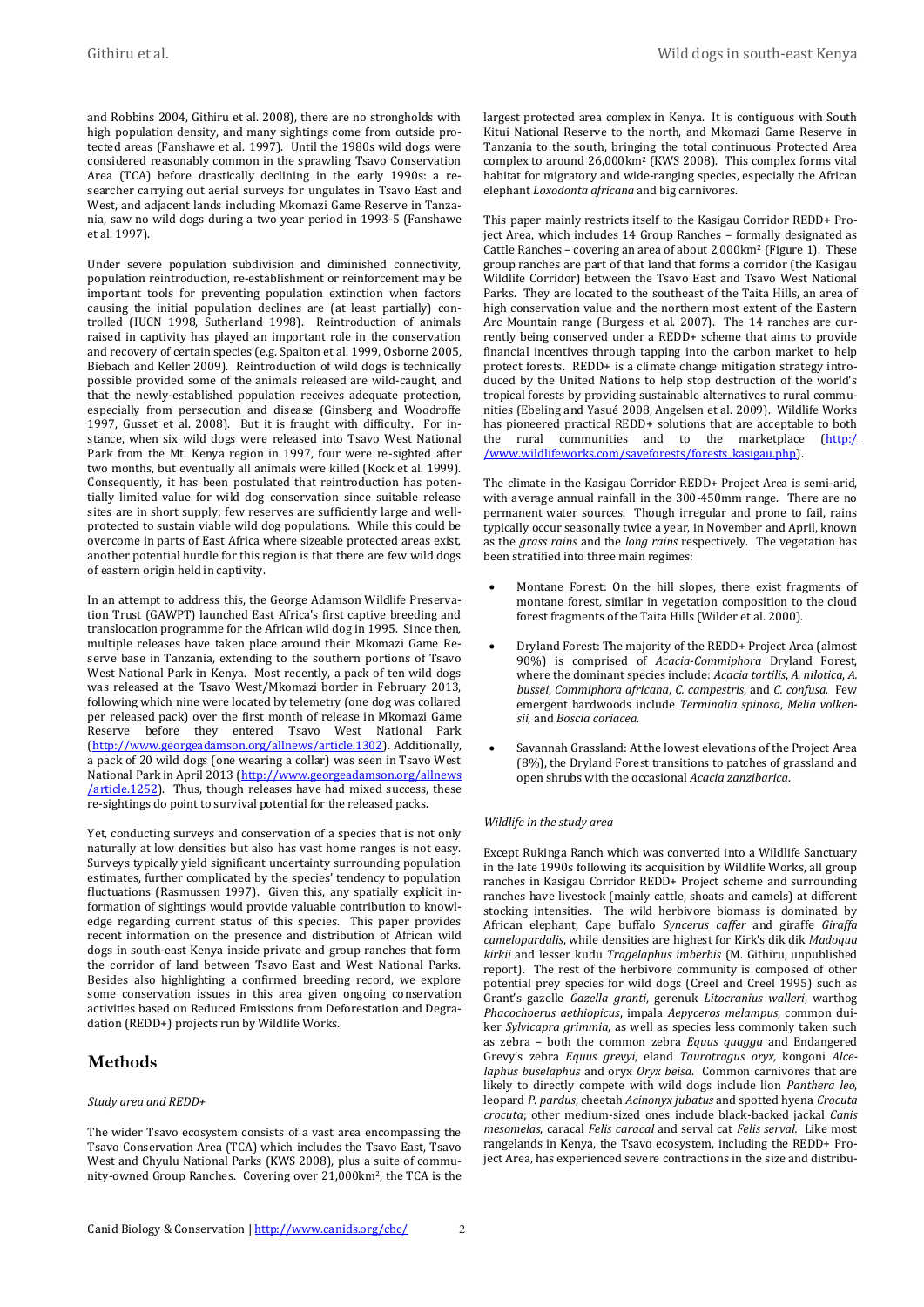and Robbins 2004, Githiru et al. 2008), there are no strongholds with high population density, and many sightings come from outside protected areas (Fanshawe et al. 1997). Until the 1980s wild dogs were considered reasonably common in the sprawling Tsavo Conservation Area (TCA) before drastically declining in the early 1990s: a researcher carrying out aerial surveys for ungulates in Tsavo East and West, and adjacent lands including Mkomazi Game Reserve in Tanzania, saw no wild dogs during a two year period in 1993-5 (Fanshawe et al. 1997).

Under severe population subdivision and diminished connectivity, population reintroduction, re‐establishment or reinforcement may be important tools for preventing population extinction when factors causing the initial population declines are (at least partially) controlled (IUCN 1998, Sutherland 1998). Reintroduction of animals raised in captivity has played an important role in the conservation and recovery of certain species (e.g. Spalton et al. 1999, Osborne 2005, Biebach and Keller 2009). Reintroduction of wild dogs is technically possible provided some of the animals released are wild-caught, and that the newly-established population receives adequate protection, especially from persecution and disease (Ginsberg and Woodroffe 1997, Gusset et al. 2008). But it is fraught with difficulty. For instance, when six wild dogs were released into Tsavo West National Park from the Mt. Kenya region in 1997, four were re-sighted after two months, but eventually all animals were killed (Kock et al. 1999). Consequently, it has been postulated that reintroduction has potentially limited value for wild dog conservation since suitable release sites are in short supply; few reserves are sufficiently large and wellprotected to sustain viable wild dog populations. While this could be overcome in parts of East Africa where sizeable protected areas exist, another potential hurdle for this region is that there are few wild dogs of eastern origin held in captivity.

In an attempt to address this, the George Adamson Wildlife Preservation Trust (GAWPT) launched East Africa's first captive breeding and translocation programme for the African wild dog in 1995. Since then, multiple releases have taken place around their Mkomazi Game Reserve base in Tanzania, extending to the southern portions of Tsavo West National Park in Kenya. Most recently, a pack of ten wild dogs was released at the Tsavo West/Mkomazi border in February 2013, following which nine were located by telemetry (one dog was collared per released pack) over the first month of release in Mkomazi Game Reserve before they entered Tsavo West National Park [\(http://www.georgeadamson.org/allnews/article.1302\)](http://www.georgeadamson.org/allnews/article.1302). Additionally, a pack of 20 wild dogs (one wearing a collar) was seen in Tsavo West National Park in April 2013 (http://www.georgeadamson.org/allnews /article.1252). Thus, though releases have had mixed success, these re-sightings do point to survival potential for the released packs.

Yet, conducting surveys and conservation of a species that is not only naturally at low densities but also has vast home ranges is not easy. Surveys typically yield significant uncertainty surrounding population estimates, further complicated by the species' tendency to population fluctuations (Rasmussen 1997). Given this, any spatially explicit information of sightings would provide valuable contribution to knowledge regarding current status of this species. This paper provides recent information on the presence and distribution of African wild dogs in south-east Kenya inside private and group ranches that form the corridor of land between Tsavo East and West National Parks. Besides also highlighting a confirmed breeding record, we explore some conservation issues in this area given ongoing conservation activities based on Reduced Emissions from Deforestation and Degradation (REDD+) projects run by Wildlife Works.

# **Methods**

### *Study area and REDD+*

The wider Tsavo ecosystem consists of a vast area encompassing the Tsavo Conservation Area (TCA) which includes the Tsavo East, Tsavo West and Chyulu National Parks (KWS 2008), plus a suite of community-owned Group Ranches. Covering over 21,000km2, the TCA is the largest protected area complex in Kenya. It is contiguous with South Kitui National Reserve to the north, and Mkomazi Game Reserve in Tanzania to the south, bringing the total continuous Protected Area complex to around 26,000km<sup>2</sup> (KWS 2008). This complex forms vital habitat for migratory and wide-ranging species, especially the African elephant *Loxodonta africana* and big carnivores.

This paper mainly restricts itself to the Kasigau Corridor REDD+ Project Area, which includes 14 Group Ranches – formally designated as Cattle Ranches – covering an area of about 2,000 km<sup>2</sup> (Figure 1). These group ranches are part of that land that forms a corridor (the Kasigau Wildlife Corridor) between the Tsavo East and Tsavo West National Parks. They are located to the southeast of the Taita Hills, an area of high conservation value and the northern most extent of the Eastern Arc Mountain range (Burgess et al. 2007). The 14 ranches are currently being conserved under a REDD+ scheme that aims to provide financial incentives through tapping into the carbon market to help protect forests. REDD+ is a climate change mitigation strategy introduced by the United Nations to help stop destruction of the world's tropical forests by providing sustainable alternatives to rural communities (Ebeling and Yasué 2008, Angelsen et al. 2009). Wildlife Works has pioneered practical REDD+ solutions that are acceptable to both the rural communities and to the marketplace [\(http:/](http://www.wildlifeworks.com/saveforests/forests_kasigau.php) [/www.wildlifeworks.com/saveforests/forests\\_kasigau.php\)](http://www.wildlifeworks.com/saveforests/forests_kasigau.php).

The climate in the Kasigau Corridor REDD+ Project Area is semi-arid, with average annual rainfall in the 300-450mm range. There are no permanent water sources. Though irregular and prone to fail, rains typically occur seasonally twice a year, in November and April, known as the *grass rains* and the *long rains* respectively. The vegetation has been stratified into three main regimes:

- Montane Forest: On the hill slopes, there exist fragments of montane forest, similar in vegetation composition to the cloud forest fragments of the Taita Hills (Wilder et al. 2000).
- Dryland Forest: The majority of the REDD+ Project Area (almost 90%) is comprised of *Acacia*-*Commiphora* Dryland Forest, where the dominant species include: *Acacia tortilis*, *A. nilotica*, *A. bussei*, *Commiphora africana*, *C. campestris*, and *C. confusa*. Few emergent hardwoods include *Terminalia spinosa*, *Melia volkensii*, and *Boscia coriacea.*
- Savannah Grassland: At the lowest elevations of the Project Area (8%), the Dryland Forest transitions to patches of grassland and open shrubs with the occasional *Acacia zanzibarica*.

### *Wildlife in the study area*

Except Rukinga Ranch which was converted into a Wildlife Sanctuary in the late 1990s following its acquisition by Wildlife Works, all group ranches in Kasigau Corridor REDD+ Project scheme and surrounding ranches have livestock (mainly cattle, shoats and camels) at different stocking intensities. The wild herbivore biomass is dominated by African elephant, Cape buffalo *Syncerus caffer* and giraffe *Giraffa camelopardalis*, while densities are highest for Kirk's dik dik *Madoqua kirkii* and lesser kudu *Tragelaphus imberbis* (M. Githiru, unpublished report). The rest of the herbivore community is composed of other potential prey species for wild dogs (Creel and Creel 1995) such as Grant's gazelle *Gazella granti*, gerenuk *Litocranius walleri*, warthog *Phacochoerus aethiopicus*, impala *Aepyceros melampus*, common duiker *Sylvicapra grimmia*, as well as species less commonly taken such as zebra – both the common zebra *Equus quagga* and Endangered Grevy's zebra *Equus grevyi*, eland *Taurotragus oryx,* kongoni *Alcelaphus buselaphus* and oryx *Oryx beisa*. Common carnivores that are likely to directly compete with wild dogs include lion *Panthera leo*, leopard *P. pardus*, cheetah *Acinonyx jubatus* and spotted hyena *Crocuta crocuta*; other medium-sized ones include black-backed jackal *Canis mesomelas*, caracal *Felis caracal* and serval cat *Felis serval.* Like most rangelands in Kenya, the Tsavo ecosystem, including the REDD+ Project Area, has experienced severe contractions in the size and distribu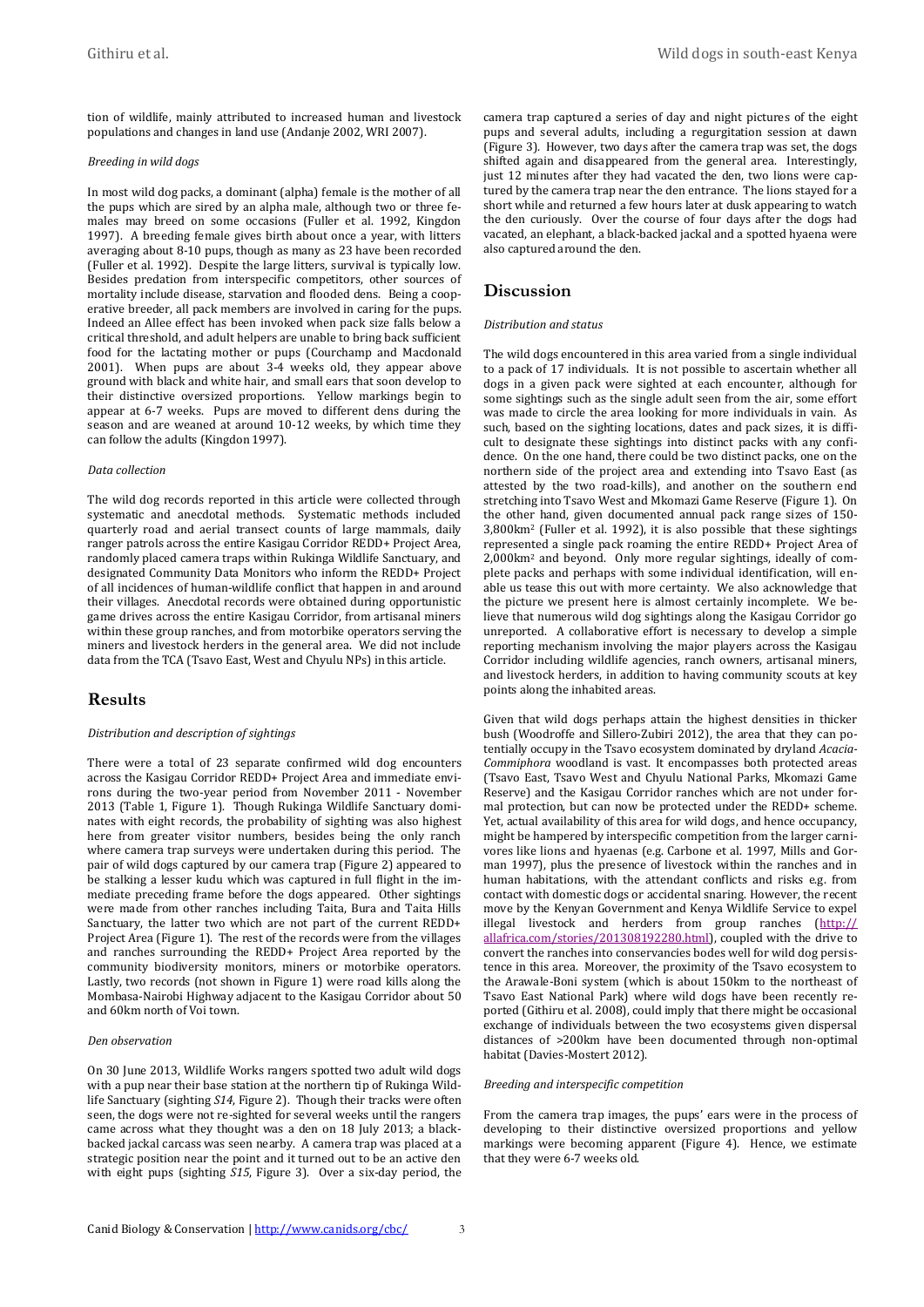tion of wildlife, mainly attributed to increased human and livestock populations and changes in land use (Andanje 2002, WRI 2007).

## *Breeding in wild dogs*

In most wild dog packs, a dominant (alpha) female is the mother of all the pups which are sired by an alpha male, although two or three females may breed on some occasions (Fuller et al. 1992, Kingdon 1997). A breeding female gives birth about once a year, with litters averaging about 8-10 pups, though as many as 23 have been recorded (Fuller et al. 1992). Despite the large litters, survival is typically low. Besides predation from interspecific competitors, other sources of mortality include disease, starvation and flooded dens. Being a cooperative breeder, all pack members are involved in caring for the pups. Indeed an Allee effect has been invoked when pack size falls below a critical threshold, and adult helpers are unable to bring back sufficient food for the lactating mother or pups (Courchamp and Macdonald 2001). When pups are about 3-4 weeks old, they appear above ground with black and white hair, and small ears that soon develop to their distinctive oversized proportions. Yellow markings begin to appear at 6-7 weeks. Pups are moved to different dens during the season and are weaned at around 10-12 weeks, by which time they can follow the adults (Kingdon 1997).

### *Data collection*

The wild dog records reported in this article were collected through systematic and anecdotal methods. Systematic methods included quarterly road and aerial transect counts of large mammals, daily ranger patrols across the entire Kasigau Corridor REDD+ Project Area, randomly placed camera traps within Rukinga Wildlife Sanctuary, and designated Community Data Monitors who inform the REDD+ Project of all incidences of human-wildlife conflict that happen in and around their villages. Anecdotal records were obtained during opportunistic game drives across the entire Kasigau Corridor, from artisanal miners within these group ranches, and from motorbike operators serving the miners and livestock herders in the general area. We did not include data from the TCA (Tsavo East, West and Chyulu NPs) in this article.

## **Results**

### *Distribution and description of sightings*

There were a total of 23 separate confirmed wild dog encounters across the Kasigau Corridor REDD+ Project Area and immediate environs during the two-year period from November 2011 - November 2013 (Table 1, Figure 1). Though Rukinga Wildlife Sanctuary dominates with eight records, the probability of sighting was also highest here from greater visitor numbers, besides being the only ranch where camera trap surveys were undertaken during this period. The pair of wild dogs captured by our camera trap (Figure 2) appeared to be stalking a lesser kudu which was captured in full flight in the immediate preceding frame before the dogs appeared. Other sightings were made from other ranches including Taita, Bura and Taita Hills Sanctuary, the latter two which are not part of the current REDD+ Project Area (Figure 1). The rest of the records were from the villages and ranches surrounding the REDD+ Project Area reported by the community biodiversity monitors, miners or motorbike operators. Lastly, two records (not shown in Figure 1) were road kills along the Mombasa-Nairobi Highway adjacent to the Kasigau Corridor about 50 and 60km north of Voi town.

## *Den observation*

On 30 June 2013, Wildlife Works rangers spotted two adult wild dogs with a pup near their base station at the northern tip of Rukinga Wildlife Sanctuary (sighting *S14*, Figure 2). Though their tracks were often seen, the dogs were not re-sighted for several weeks until the rangers came across what they thought was a den on 18 July 2013; a blackbacked jackal carcass was seen nearby. A camera trap was placed at a strategic position near the point and it turned out to be an active den with eight pups (sighting *S15*, Figure 3). Over a six-day period, the camera trap captured a series of day and night pictures of the eight pups and several adults, including a regurgitation session at dawn (Figure 3). However, two days after the camera trap was set, the dogs shifted again and disappeared from the general area. Interestingly, just 12 minutes after they had vacated the den, two lions were captured by the camera trap near the den entrance. The lions stayed for a short while and returned a few hours later at dusk appearing to watch the den curiously. Over the course of four days after the dogs had vacated, an elephant, a black-backed jackal and a spotted hyaena were also captured around the den.

## **Discussion**

#### *Distribution and status*

The wild dogs encountered in this area varied from a single individual to a pack of 17 individuals. It is not possible to ascertain whether all dogs in a given pack were sighted at each encounter, although for some sightings such as the single adult seen from the air, some effort was made to circle the area looking for more individuals in vain. As such, based on the sighting locations, dates and pack sizes, it is difficult to designate these sightings into distinct packs with any confidence. On the one hand, there could be two distinct packs, one on the northern side of the project area and extending into Tsavo East (as attested by the two road-kills), and another on the southern end stretching into Tsavo West and Mkomazi Game Reserve (Figure 1). On the other hand, given documented annual pack range sizes of 150- 3,800km<sup>2</sup> (Fuller et al. 1992), it is also possible that these sightings represented a single pack roaming the entire REDD+ Project Area of 2,000km<sup>2</sup> and beyond. Only more regular sightings, ideally of complete packs and perhaps with some individual identification, will enable us tease this out with more certainty. We also acknowledge that the picture we present here is almost certainly incomplete. We believe that numerous wild dog sightings along the Kasigau Corridor go unreported. A collaborative effort is necessary to develop a simple reporting mechanism involving the major players across the Kasigau Corridor including wildlife agencies, ranch owners, artisanal miners, and livestock herders, in addition to having community scouts at key points along the inhabited areas.

Given that wild dogs perhaps attain the highest densities in thicker bush (Woodroffe and Sillero-Zubiri 2012), the area that they can potentially occupy in the Tsavo ecosystem dominated by dryland *Acacia-Commiphora* woodland is vast. It encompasses both protected areas (Tsavo East, Tsavo West and Chyulu National Parks, Mkomazi Game Reserve) and the Kasigau Corridor ranches which are not under formal protection, but can now be protected under the REDD+ scheme. Yet, actual availability of this area for wild dogs, and hence occupancy, might be hampered by interspecific competition from the larger carnivores like lions and hyaenas (e.g. Carbone et al. 1997, Mills and Gorman 1997), plus the presence of livestock within the ranches and in human habitations, with the attendant conflicts and risks e.g. from contact with domestic dogs or accidental snaring. However, the recent move by the Kenyan Government and Kenya Wildlife Service to expel illegal livestock and herders from group ranches [\(http://](http://allafrica.com/stories/201308192280.html) [allafrica.com/stories/201308192280.html\)](http://allafrica.com/stories/201308192280.html), coupled with the drive to convert the ranches into conservancies bodes well for wild dog persistence in this area. Moreover, the proximity of the Tsavo ecosystem to the Arawale-Boni system (which is about 150km to the northeast of Tsavo East National Park) where wild dogs have been recently reported (Githiru et al. 2008), could imply that there might be occasional exchange of individuals between the two ecosystems given dispersal distances of >200km have been documented through non-optimal habitat (Davies-Mostert 2012).

#### *Breeding and interspecific competition*

From the camera trap images, the pups' ears were in the process of developing to their distinctive oversized proportions and yellow markings were becoming apparent (Figure 4). Hence, we estimate that they were 6-7 weeks old.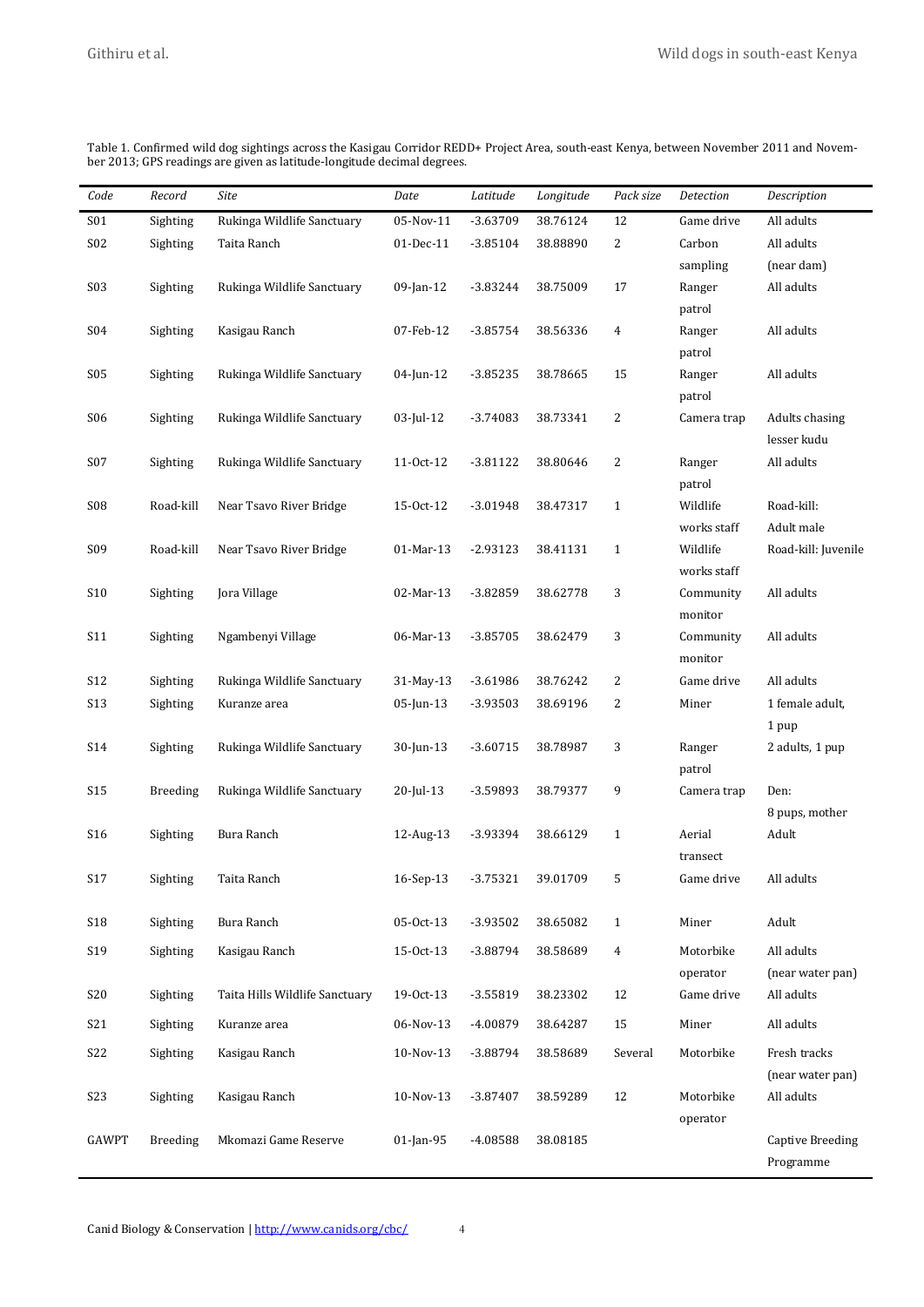| Code             | Record          | Site                           | Date         | Latitude   | Longitude | Pack size      | Detection          | Description             |
|------------------|-----------------|--------------------------------|--------------|------------|-----------|----------------|--------------------|-------------------------|
| S01              | Sighting        | Rukinga Wildlife Sanctuary     | 05-Nov-11    | -3.63709   | 38.76124  | 12             | Game drive         | All adults              |
| S02              | Sighting        | Taita Ranch                    | 01-Dec-11    | $-3.85104$ | 38.88890  | $\overline{c}$ | Carbon             | All adults              |
|                  |                 |                                |              |            |           |                | sampling           | (near dam)              |
| S03              | Sighting        | Rukinga Wildlife Sanctuary     | 09-Jan-12    | $-3.83244$ | 38.75009  | 17             | Ranger             | All adults              |
|                  |                 |                                |              |            |           |                | patrol             |                         |
| S04              | Sighting        | Kasigau Ranch                  | 07-Feb-12    | $-3.85754$ | 38.56336  | $\overline{4}$ | Ranger             | All adults              |
|                  |                 |                                |              |            |           |                | patrol             |                         |
| <b>S05</b>       | Sighting        | Rukinga Wildlife Sanctuary     | 04-Jun-12    | $-3.85235$ | 38.78665  | 15             | Ranger             | All adults              |
|                  |                 |                                |              |            |           |                | patrol             |                         |
| S <sub>06</sub>  | Sighting        | Rukinga Wildlife Sanctuary     | 03-Jul-12    | $-3.74083$ | 38.73341  | 2              | Camera trap        | Adults chasing          |
|                  |                 |                                |              |            |           |                |                    | lesser kudu             |
| S07              | Sighting        | Rukinga Wildlife Sanctuary     | 11-0ct-12    | $-3.81122$ | 38.80646  | 2              | Ranger             | All adults              |
| S08              | Road-kill       | Near Tsavo River Bridge        | 15-Oct-12    | $-3.01948$ | 38.47317  | $\mathbf{1}$   | patrol<br>Wildlife | Road-kill:              |
|                  |                 |                                |              |            |           |                | works staff        | Adult male              |
| S09              | Road-kill       | Near Tsavo River Bridge        | 01-Mar-13    | $-2.93123$ | 38.41131  | $\mathbf{1}$   | Wildlife           | Road-kill: Juvenile     |
|                  |                 |                                |              |            |           |                | works staff        |                         |
| <b>S10</b>       | Sighting        | Jora Village                   | 02-Mar-13    | $-3.82859$ | 38.62778  | 3              | Community          | All adults              |
|                  |                 |                                |              |            |           |                | monitor            |                         |
| S11              | Sighting        | Ngambenyi Village              | 06-Mar-13    | $-3.85705$ | 38.62479  | 3              | Community          | All adults              |
|                  |                 |                                |              |            |           |                | monitor            |                         |
| S12              | Sighting        | Rukinga Wildlife Sanctuary     | 31-May-13    | $-3.61986$ | 38.76242  | 2              | Game drive         | All adults              |
| S13              | Sighting        | Kuranze area                   | 05-Jun-13    | -3.93503   | 38.69196  | 2              | Miner              | 1 female adult,         |
|                  |                 |                                |              |            |           |                |                    | 1 pup                   |
| S14              | Sighting        | Rukinga Wildlife Sanctuary     | 30-Jun-13    | $-3.60715$ | 38.78987  | 3              | Ranger             | 2 adults, 1 pup         |
|                  |                 |                                |              |            |           |                | patrol             |                         |
| <b>S15</b>       | <b>Breeding</b> | Rukinga Wildlife Sanctuary     | 20-Jul-13    | -3.59893   | 38.79377  | 9              | Camera trap        | Den:                    |
|                  |                 |                                |              |            |           |                |                    | 8 pups, mother          |
| S16              | Sighting        | Bura Ranch                     | 12-Aug-13    | -3.93394   | 38.66129  | $\mathbf{1}$   | Aerial             | Adult                   |
|                  |                 |                                |              |            |           |                | transect           |                         |
| S17              | Sighting        | Taita Ranch                    | 16-Sep-13    | $-3.75321$ | 39.01709  | 5              | Game drive         | All adults              |
|                  |                 |                                |              |            |           |                |                    |                         |
| <b>S18</b>       | Sighting        | Bura Ranch                     | 05-Oct-13    | $-3.93502$ | 38.65082  | $\mathbf{1}$   | Miner              | Adult                   |
| S19              | Sighting        | Kasigau Ranch                  | 15-Oct-13    | $-3.88794$ | 38.58689  | 4              | Motorbike          | All adults              |
|                  |                 |                                |              |            |           |                | operator           | (near water pan)        |
| S20              | Sighting        | Taita Hills Wildlife Sanctuary | 19-0ct-13    | $-3.55819$ | 38.23302  | 12             | Game drive         | All adults              |
| S21              | Sighting        | Kuranze area                   | 06-Nov-13    | -4.00879   | 38.64287  | 15             | Miner              | All adults              |
| S22              | Sighting        | Kasigau Ranch                  | 10-Nov-13    | -3.88794   | 38.58689  | Several        | Motorbike          | Fresh tracks            |
|                  |                 |                                |              |            |           |                |                    | (near water pan)        |
| S <sub>2</sub> 3 | Sighting        | Kasigau Ranch                  | 10-Nov-13    | $-3.87407$ | 38.59289  | 12             | Motorbike          | All adults              |
|                  |                 |                                |              |            |           |                | operator           |                         |
| <b>GAWPT</b>     | <b>Breeding</b> | Mkomazi Game Reserve           | $01$ -Jan-95 | $-4.08588$ | 38.08185  |                |                    | <b>Captive Breeding</b> |
|                  |                 |                                |              |            |           |                |                    | Programme               |

Table 1. Confirmed wild dog sightings across the Kasigau Corridor REDD+ Project Area, south-east Kenya, between November 2011 and November 2013; GPS readings are given as latitude-longitude decimal degrees.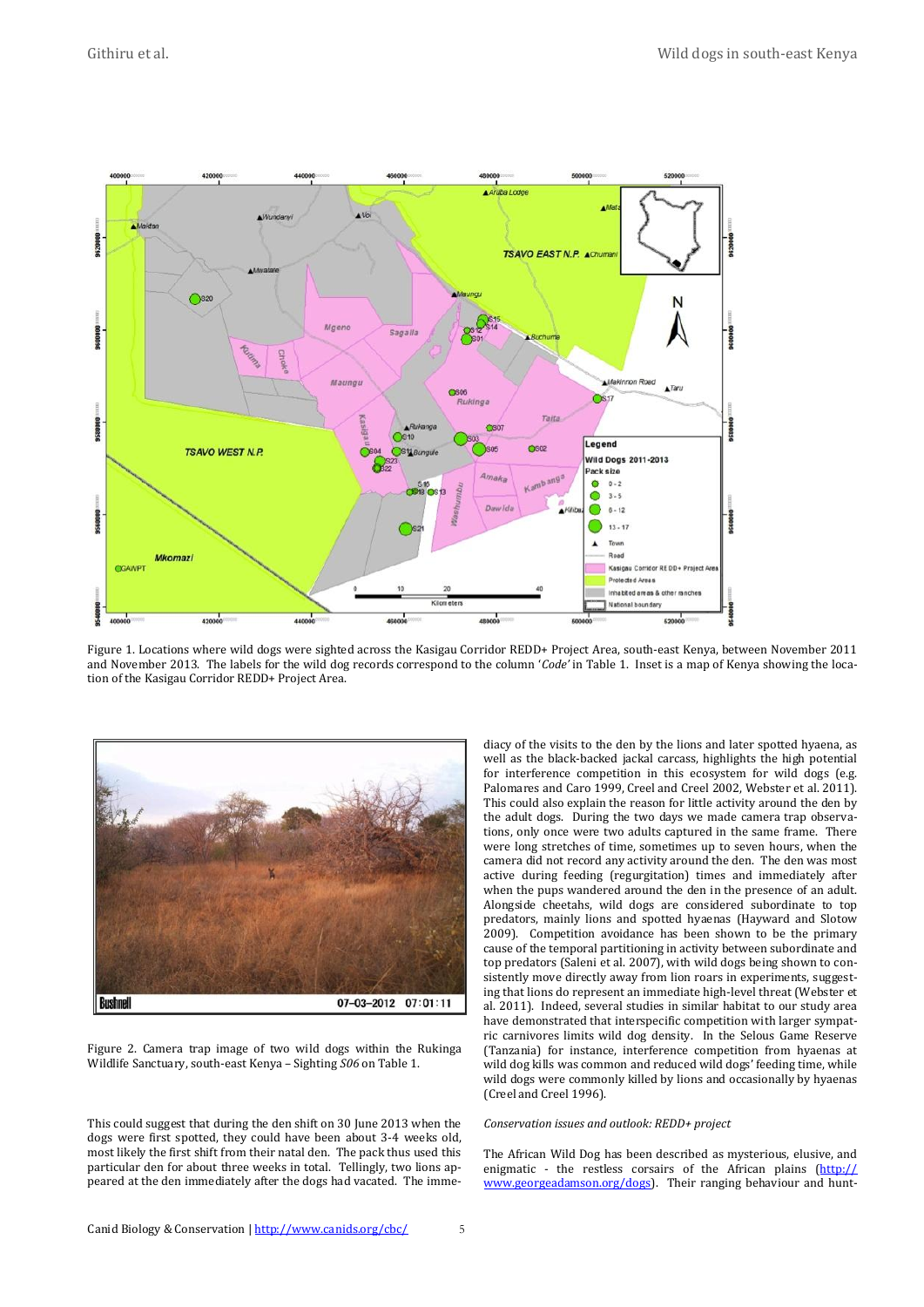

Figure 1. Locations where wild dogs were sighted across the Kasigau Corridor REDD+ Project Area, south-east Kenya, between November 2011 and November 2013. The labels for the wild dog records correspond to the column '*Code'* in Table 1. Inset is a map of Kenya showing the location of the Kasigau Corridor REDD+ Project Area.



Figure 2. Camera trap image of two wild dogs within the Rukinga Wildlife Sanctuary, south-east Kenya – Sighting *S06* on Table 1.

This could suggest that during the den shift on 30 June 2013 when the dogs were first spotted, they could have been about 3-4 weeks old, most likely the first shift from their natal den. The pack thus used this particular den for about three weeks in total. Tellingly, two lions appeared at the den immediately after the dogs had vacated. The immediacy of the visits to the den by the lions and later spotted hyaena, as well as the black-backed jackal carcass, highlights the high potential for interference competition in this ecosystem for wild dogs (e.g. Palomares and Caro 1999, Creel and Creel 2002, Webster et al. 2011). This could also explain the reason for little activity around the den by the adult dogs. During the two days we made camera trap observations, only once were two adults captured in the same frame. There were long stretches of time, sometimes up to seven hours, when the camera did not record any activity around the den. The den was most active during feeding (regurgitation) times and immediately after when the pups wandered around the den in the presence of an adult. Alongside cheetahs, wild dogs are considered subordinate to top predators, mainly lions and spotted hyaenas (Hayward and Slotow 2009). Competition avoidance has been shown to be the primary cause of the temporal partitioning in activity between subordinate and top predators (Saleni et al. 2007), with wild dogs being shown to consistently move directly away from lion roars in experiments, suggesting that lions do represent an immediate high-level threat (Webster et al. 2011). Indeed, several studies in similar habitat to our study area have demonstrated that interspecific competition with larger sympatric carnivores limits wild dog density. In the Selous Game Reserve (Tanzania) for instance, interference competition from hyaenas at wild dog kills was common and reduced wild dogs' feeding time, while wild dogs were commonly killed by lions and occasionally by hyaenas (Creel and Creel 1996).

### *Conservation issues and outlook: REDD+ project*

The African Wild Dog has been described as mysterious, elusive, and enigmatic - the restless corsairs of the African plains [\(http://](http://www.georgeadamson.org/dogs) [www.georgeadamson.org/dogs\)](http://www.georgeadamson.org/dogs). Their ranging behaviour and hunt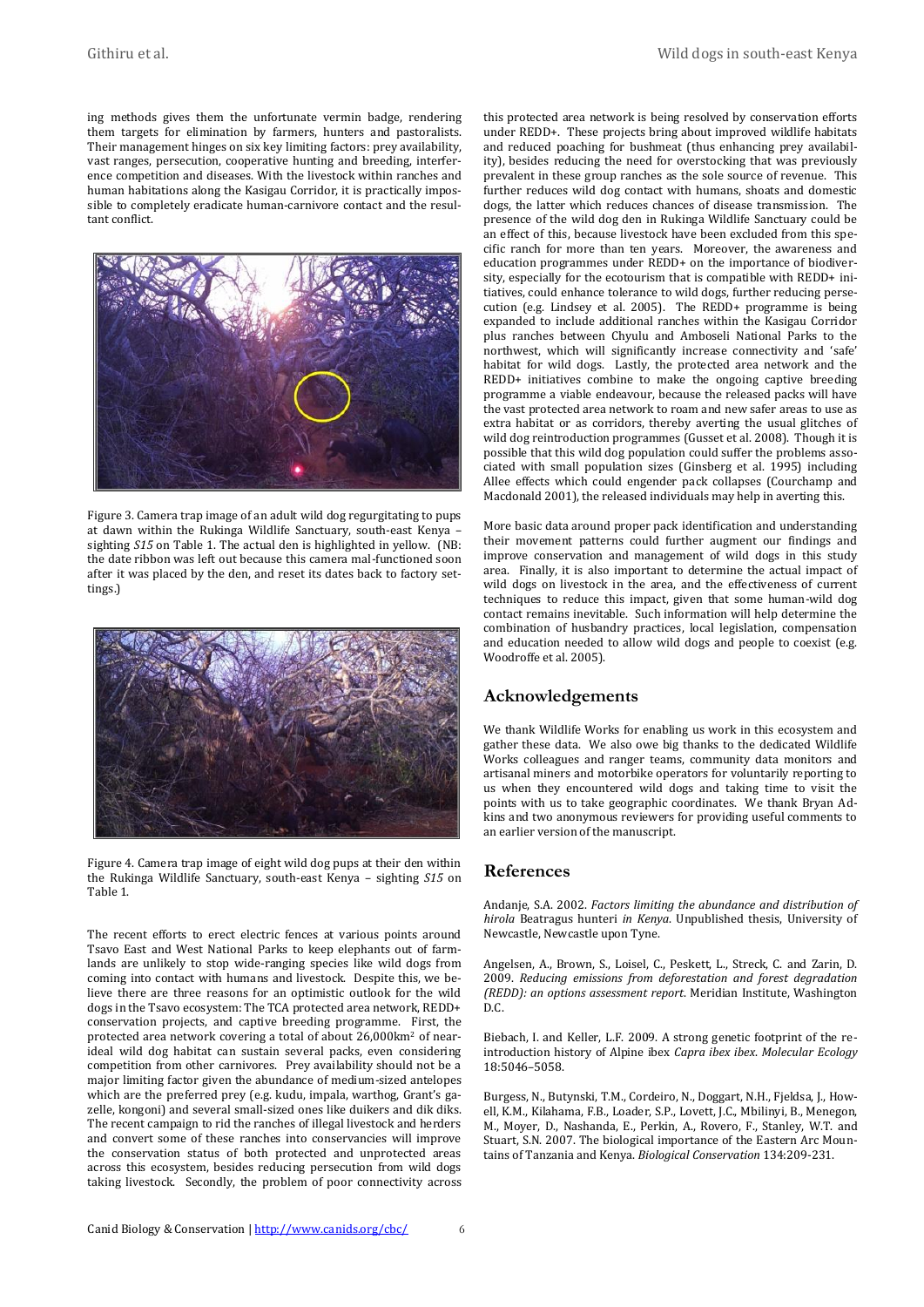ing methods gives them the unfortunate vermin badge, rendering them targets for elimination by farmers, hunters and pastoralists. Their management hinges on six key limiting factors: prey availability, vast ranges, persecution, cooperative hunting and breeding, interference competition and diseases. With the livestock within ranches and human habitations along the Kasigau Corridor, it is practically impossible to completely eradicate human-carnivore contact and the resultant conflict.



Figure 3. Camera trap image of an adult wild dog regurgitating to pups at dawn within the Rukinga Wildlife Sanctuary, south-east Kenya – sighting *S15* on Table 1. The actual den is highlighted in yellow. (NB: the date ribbon was left out because this camera mal-functioned soon after it was placed by the den, and reset its dates back to factory settings.)



Figure 4. Camera trap image of eight wild dog pups at their den within the Rukinga Wildlife Sanctuary, south-east Kenya – sighting *S15* on Table 1.

The recent efforts to erect electric fences at various points around Tsavo East and West National Parks to keep elephants out of farmlands are unlikely to stop wide-ranging species like wild dogs from coming into contact with humans and livestock. Despite this, we believe there are three reasons for an optimistic outlook for the wild dogs in the Tsavo ecosystem: The TCA protected area network, REDD+ conservation projects, and captive breeding programme. First, the protected area network covering a total of about 26,000km<sup>2</sup> of nearideal wild dog habitat can sustain several packs, even considering competition from other carnivores. Prey availability should not be a major limiting factor given the abundance of medium-sized antelopes which are the preferred prey (e.g. kudu, impala, warthog, Grant's gazelle, kongoni) and several small-sized ones like duikers and dik diks. The recent campaign to rid the ranches of illegal livestock and herders and convert some of these ranches into conservancies will improve the conservation status of both protected and unprotected areas across this ecosystem, besides reducing persecution from wild dogs taking livestock. Secondly, the problem of poor connectivity across this protected area network is being resolved by conservation efforts under REDD+. These projects bring about improved wildlife habitats and reduced poaching for bushmeat (thus enhancing prey availability), besides reducing the need for overstocking that was previously prevalent in these group ranches as the sole source of revenue. This further reduces wild dog contact with humans, shoats and domestic dogs, the latter which reduces chances of disease transmission. The presence of the wild dog den in Rukinga Wildlife Sanctuary could be an effect of this, because livestock have been excluded from this specific ranch for more than ten years. Moreover, the awareness and education programmes under REDD+ on the importance of biodiversity, especially for the ecotourism that is compatible with REDD+ initiatives, could enhance tolerance to wild dogs, further reducing persecution (e.g. Lindsey et al. 2005). The REDD+ programme is being expanded to include additional ranches within the Kasigau Corridor plus ranches between Chyulu and Amboseli National Parks to the northwest, which will significantly increase connectivity and 'safe' habitat for wild dogs. Lastly, the protected area network and the REDD+ initiatives combine to make the ongoing captive breeding programme a viable endeavour, because the released packs will have the vast protected area network to roam and new safer areas to use as extra habitat or as corridors, thereby averting the usual glitches of wild dog reintroduction programmes (Gusset et al. 2008). Though it is possible that this wild dog population could suffer the problems associated with small population sizes (Ginsberg et al. 1995) including Allee effects which could engender pack collapses (Courchamp and Macdonald 2001), the released individuals may help in averting this.

More basic data around proper pack identification and understanding their movement patterns could further augment our findings and improve conservation and management of wild dogs in this study area. Finally, it is also important to determine the actual impact of wild dogs on livestock in the area, and the effectiveness of current techniques to reduce this impact, given that some human-wild dog contact remains inevitable. Such information will help determine the combination of husbandry practices, local legislation, compensation and education needed to allow wild dogs and people to coexist (e.g. Woodroffe et al. 2005).

# **Acknowledgements**

We thank Wildlife Works for enabling us work in this ecosystem and gather these data. We also owe big thanks to the dedicated Wildlife Works colleagues and ranger teams, community data monitors and artisanal miners and motorbike operators for voluntarily reporting to us when they encountered wild dogs and taking time to visit the points with us to take geographic coordinates. We thank Bryan Adkins and two anonymous reviewers for providing useful comments to an earlier version of the manuscript.

# **References**

Andanje, S.A. 2002. *Factors limiting the abundance and distribution of hirola* Beatragus hunteri *in Kenya*. Unpublished thesis, University of Newcastle, Newcastle upon Tyne.

Angelsen, A., Brown, S., Loisel, C., Peskett, L., Streck, C. and Zarin, D. 2009. *Reducing emissions from deforestation and forest degradation (REDD): an options assessment report*. Meridian Institute, Washington D.C.

Biebach, I. and Keller, L.F. 2009. A strong genetic footprint of the reintroduction history of Alpine ibex *Capra ibex ibex*. *Molecular Ecology* 18:5046–5058.

Burgess, N., Butynski, T.M., Cordeiro, N., Doggart, N.H., Fjeldsa, J., Howell, K.M., Kilahama, F.B., Loader, S.P., Lovett, J.C., Mbilinyi, B., Menegon, M., Moyer, D., Nashanda, E., Perkin, A., Rovero, F., Stanley, W.T. and Stuart, S.N. 2007. The biological importance of the Eastern Arc Mountains of Tanzania and Kenya. *Biological Conservation* 134:209-231.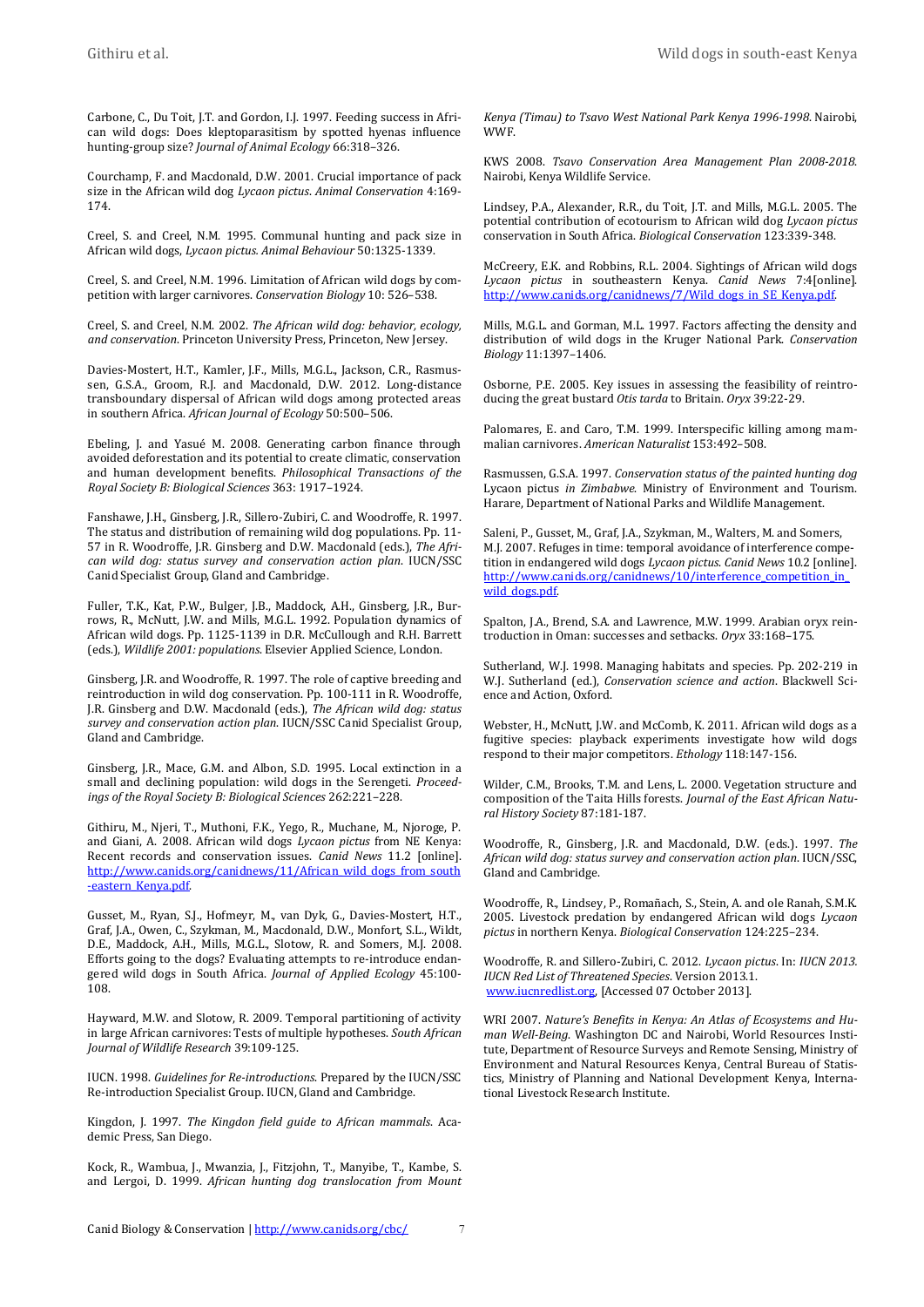Carbone, C., Du Toit, J.T. and Gordon, I.J. 1997. Feeding success in African wild dogs: Does kleptoparasitism by spotted hyenas influence hunting-group size? *Journal of Animal Ecology* 66:318–326.

Courchamp, F. and Macdonald, D.W. 2001. Crucial importance of pack size in the African wild dog *Lycaon pictus*. *Animal Conservation* 4:169- 174.

Creel, S. and Creel, N.M. 1995. Communal hunting and pack size in African wild dogs, *Lycaon pictus. Animal Behaviour* 50:1325-1339.

Creel, S. and Creel, N.M. 1996. Limitation of African wild dogs by competition with larger carnivores. *Conservation Biology* 10: 526–538.

Creel, S. and Creel, N.M. 2002. *The African wild dog: behavior, ecology, and conservation*. Princeton University Press, Princeton, New Jersey.

Davies-Mostert, H.T., Kamler, J.F., Mills, M.G.L., Jackson, C.R., Rasmussen, G.S.A., Groom, R.J. and Macdonald, D.W. 2012. Long-distance transboundary dispersal of African wild dogs among protected areas in southern Africa. *African Journal of Ecology* 50:500–506.

Ebeling, J. and Yasué M. 2008. Generating carbon finance through avoided deforestation and its potential to create climatic, conservation and human development benefits. *Philosophical Transactions of the Royal Society B: Biological Sciences* 363: 1917–1924.

Fanshawe, J.H., Ginsberg, J.R., Sillero-Zubiri, C. and Woodroffe, R. 1997. The status and distribution of remaining wild dog populations. Pp. 11- 57 in R. Woodroffe, J.R. Ginsberg and D.W. Macdonald (eds.), *The African wild dog: status survey and conservation action plan*. IUCN/SSC Canid Specialist Group, Gland and Cambridge.

Fuller, T.K., Kat, P.W., Bulger, J.B., Maddock, A.H., Ginsberg, J.R., Burrows, R., McNutt, J.W. and Mills, M.G.L. 1992. Population dynamics of African wild dogs. Pp. 1125-1139 in D.R. McCullough and R.H. Barrett (eds.), *Wildlife 2001: populations*. Elsevier Applied Science, London.

Ginsberg, J.R. and Woodroffe, R. 1997. The role of captive breeding and reintroduction in wild dog conservation. Pp. 100-111 in R. Woodroffe, J.R. Ginsberg and D.W. Macdonald (eds.), *The African wild dog: status survey and conservation action plan*. IUCN/SSC Canid Specialist Group, Gland and Cambridge.

Ginsberg, J.R., Mace, G.M. and Albon, S.D. 1995. Local extinction in a small and declining population: wild dogs in the Serengeti. *Proceedings of the Royal Society B: Biological Sciences* 262:221–228.

Githiru, M., Njeri, T., Muthoni, F.K., Yego, R., Muchane, M., Njoroge, P. and Giani, A. 2008. African wild dogs *Lycaon pictus* from NE Kenya: Recent records and conservation issues. *Canid News* 11.2 [online]. http://www.canids.org/canidnews/11/African\_wild\_dogs\_from [-eastern\\_Kenya.pdf.](http://www.canids.org/canidnews/11/African_wild_dogs_from_south-eastern_Kenya.pdf)

Gusset, M., Ryan, S.J., Hofmeyr, M., van Dyk, G., Davies-Mostert, H.T., Graf, J.A., Owen, C., Szykman, M., Macdonald, D.W., Monfort, S.L., Wildt, D.E., Maddock, A.H., Mills, M.G.L., Slotow, R. and Somers, M.J. 2008. Efforts going to the dogs? Evaluating attempts to re-introduce endangered wild dogs in South Africa. *Journal of Applied Ecology* 45:100- 108.

Hayward, M.W. and Slotow, R. 2009. Temporal partitioning of activity in large African carnivores: Tests of multiple hypotheses. *South African Journal of Wildlife Research* 39:109-125.

IUCN. 1998. *Guidelines for Re‐introductions*. Prepared by the IUCN/SSC Re‐introduction Specialist Group. IUCN, Gland and Cambridge.

Kingdon, J. 1997. *The Kingdon field guide to African mammals*. Academic Press, San Diego.

Kock, R., Wambua, J., Mwanzia, J., Fitzjohn, T., Manyibe, T., Kambe, S. and Lergoi, D. 1999. *African hunting dog translocation from Mount*  *Kenya (Timau) to Tsavo West National Park Kenya 1996-1998*. Nairobi, **WWF** 

KWS 2008. *Tsavo Conservation Area Management Plan 2008-2018*. Nairobi, Kenya Wildlife Service.

Lindsey, P.A., Alexander, R.R., du Toit, J.T. and Mills, M.G.L. 2005. The potential contribution of ecotourism to African wild dog *Lycaon pictus* conservation in South Africa. *Biological Conservation* 123:339-348.

McCreery, E.K. and Robbins, R.L. 2004. Sightings of African wild dogs *Lycaon pictus* in southeastern Kenya. *Canid News* 7:4[online]. http://www.canids.org/canidnews/7/Wild\_dogs\_in\_SE\_Kenya.pd

Mills, M.G.L. and Gorman, M.L. 1997. Factors affecting the density and distribution of wild dogs in the Kruger National Park. *Conservation Biology* 11:1397–1406.

Osborne, P.E. 2005. Key issues in assessing the feasibility of reintroducing the great bustard *Otis tarda* to Britain. *Oryx* 39:22‐29.

Palomares, E. and Caro, T.M. 1999. Interspecific killing among mammalian carnivores. *American Naturalist* 153:492–508.

Rasmussen, G.S.A. 1997. *Conservation status of the painted hunting dog*  Lycaon pictus *in Zimbabwe*. Ministry of Environment and Tourism. Harare, Department of National Parks and Wildlife Management.

Saleni, P., Gusset, M., Graf, J.A., Szykman, M., Walters, M. and Somers, M.J. 2007. Refuges in time: temporal avoidance of interference competition in endangered wild dogs *Lycaon pictus*. *Canid News* 10.2 [online]. http://www.canids.org/canidnews/10/interference\_competition\_in [wild\\_dogs.pdf.](http://www.canids.org/canidnews/10/interference_competition_in_wild_dogs.pdf)

Spalton, J.A., Brend, S.A. and Lawrence, M.W. 1999. Arabian oryx reintroduction in Oman: successes and setbacks. *Oryx* 33:168–175.

Sutherland, W.J. 1998. Managing habitats and species. Pp. 202‐219 in W.J. Sutherland (ed.), *Conservation science and action*. Blackwell Science and Action, Oxford.

Webster, H., McNutt, J.W. and McComb, K. 2011. African wild dogs as a fugitive species: playback experiments investigate how wild dogs respond to their major competitors. *Ethology* 118:147-156.

Wilder, C.M., Brooks, T.M. and Lens, L. 2000. Vegetation structure and composition of the Taita Hills forests. *Journal of the East African Natural History Society* 87:181-187.

Woodroffe, R., Ginsberg, J.R. and Macdonald, D.W. (eds.). 1997. *The African wild dog: status survey and conservation action plan*. IUCN/SSC, Gland and Cambridge.

Woodroffe, R., Lindsey, P., Romañach, S., Stein, A. and ole Ranah, S.M.K. 2005. Livestock predation by endangered African wild dogs *Lycaon pictus* in northern Kenya. *Biological Conservation* 124:225–234.

Woodroffe, R. and Sillero-Zubiri, C. 2012. *Lycaon pictus*. In: *IUCN 2013. IUCN Red List of Threatened Species*. Version 2013.1. [www.iucnredlist.org,](http://www.iucnredlist.org/) [Accessed 07 October 2013].

WRI 2007. *Nature's Benefits in Kenya: An Atlas of Ecosystems and Human Well-Being*. Washington DC and Nairobi, World Resources Institute, Department of Resource Surveys and Remote Sensing, Ministry of Environment and Natural Resources Kenya, Central Bureau of Statistics, Ministry of Planning and National Development Kenya, International Livestock Research Institute.